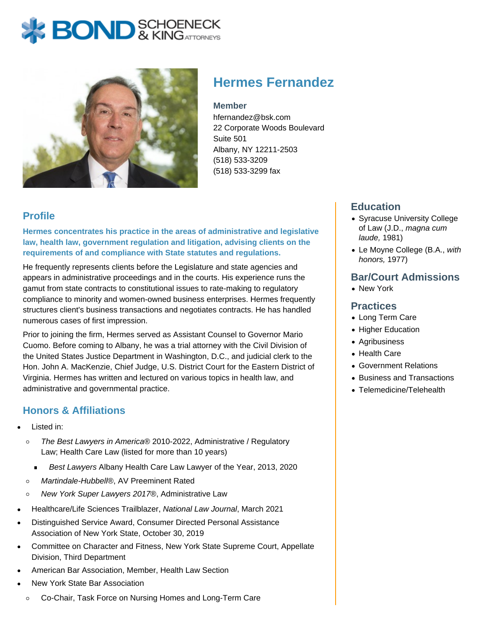# **BOND** & KING ATTORNECK



## **Hermes Fernandez**

#### **Member**

hfernandez@bsk.com 22 Corporate Woods Boulevard Suite 501 Albany, NY 12211-2503 (518) 533-3209 (518) 533-3299 fax

#### **Profile**

**Hermes concentrates his practice in the areas of administrative and legislative law, health law, government regulation and litigation, advising clients on the requirements of and compliance with State statutes and regulations.**

He frequently represents clients before the Legislature and state agencies and appears in administrative proceedings and in the courts. His experience runs the gamut from state contracts to constitutional issues to rate-making to regulatory compliance to minority and women-owned business enterprises. Hermes frequently structures client's business transactions and negotiates contracts. He has handled numerous cases of first impression.

Prior to joining the firm, Hermes served as Assistant Counsel to Governor Mario Cuomo. Before coming to Albany, he was a trial attorney with the Civil Division of the United States Justice Department in Washington, D.C., and judicial clerk to the Hon. John A. MacKenzie, Chief Judge, U.S. District Court for the Eastern District of Virginia. Hermes has written and lectured on various topics in health law, and administrative and governmental practice.

#### **Honors & Affiliations**

- Listed in:
	- The Best Lawyers in America® 2010-2022, Administrative / Regulatory  $\circ$ Law; Health Care Law (listed for more than 10 years)
		- Best Lawyers Albany Health Care Law Lawyer of the Year, 2013, 2020
	- Martindale-Hubbell®, AV Preeminent Rated  $\circ$
	- New York Super Lawyers 2017®, Administrative Law  $\circ$
- Healthcare/Life Sciences Trailblazer, National Law Journal, March 2021
- Distinguished Service Award, Consumer Directed Personal Assistance Association of New York State, October 30, 2019
- Committee on Character and Fitness, New York State Supreme Court, Appellate Division, Third Department
- American Bar Association, Member, Health Law Section
- New York State Bar Association
	- $\circ$ Co-Chair, Task Force on Nursing Homes and Long-Term Care

#### **Education**

- Syracuse University College of Law (J.D., magna cum laude, 1981)
- Le Moyne College (B.A., with honors, 1977)

#### **Bar/Court Admissions**

New York

#### **Practices**

- Long Term Care
- Higher Education
- Agribusiness
- Health Care
- Government Relations
- Business and Transactions
- Telemedicine/Telehealth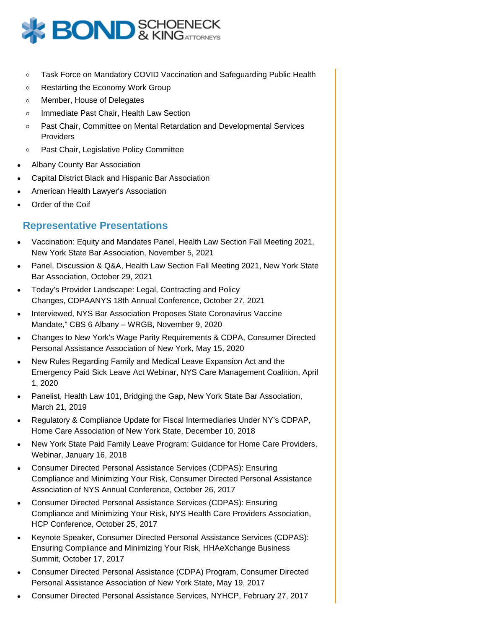

- Task Force on Mandatory COVID Vaccination and Safeguarding Public Health  $\circ$
- Restarting the Economy Work Group  $\circ$
- Member, House of Delegates  $\circ$
- Immediate Past Chair, Health Law Section  $\circ$
- Past Chair, Committee on Mental Retardation and Developmental Services  $\circ$ **Providers**
- Past Chair, Legislative Policy Committee  $\circ$
- Albany County Bar Association
- Capital District Black and Hispanic Bar Association
- American Health Lawyer's Association
- Order of the Coif

#### **Representative Presentations**

- Vaccination: Equity and Mandates Panel, Health Law Section Fall Meeting 2021, New York State Bar Association, November 5, 2021
- Panel, Discussion & Q&A, Health Law Section Fall Meeting 2021, New York State Bar Association, October 29, 2021
- Today's Provider Landscape: Legal, Contracting and Policy Changes, CDPAANYS 18th Annual Conference, October 27, 2021
- Interviewed, NYS Bar Association Proposes State Coronavirus Vaccine Mandate," CBS 6 Albany – WRGB, November 9, 2020
- Changes to New York's Wage Parity Requirements & CDPA, Consumer Directed Personal Assistance Association of New York, May 15, 2020
- New Rules Regarding Family and Medical Leave Expansion Act and the Emergency Paid Sick Leave Act Webinar, NYS Care Management Coalition, April 1, 2020
- Panelist, Health Law 101, Bridging the Gap, New York State Bar Association, March 21, 2019
- Regulatory & Compliance Update for Fiscal Intermediaries Under NY's CDPAP, Home Care Association of New York State, December 10, 2018
- New York State Paid Family Leave Program: Guidance for Home Care Providers, Webinar, January 16, 2018
- Consumer Directed Personal Assistance Services (CDPAS): Ensuring Compliance and Minimizing Your Risk, Consumer Directed Personal Assistance Association of NYS Annual Conference, October 26, 2017
- Consumer Directed Personal Assistance Services (CDPAS): Ensuring Compliance and Minimizing Your Risk, NYS Health Care Providers Association, HCP Conference, October 25, 2017
- Keynote Speaker, Consumer Directed Personal Assistance Services (CDPAS): Ensuring Compliance and Minimizing Your Risk, HHAeXchange Business Summit, October 17, 2017
- Consumer Directed Personal Assistance (CDPA) Program, Consumer Directed Personal Assistance Association of New York State, May 19, 2017
- Consumer Directed Personal Assistance Services, NYHCP, February 27, 2017